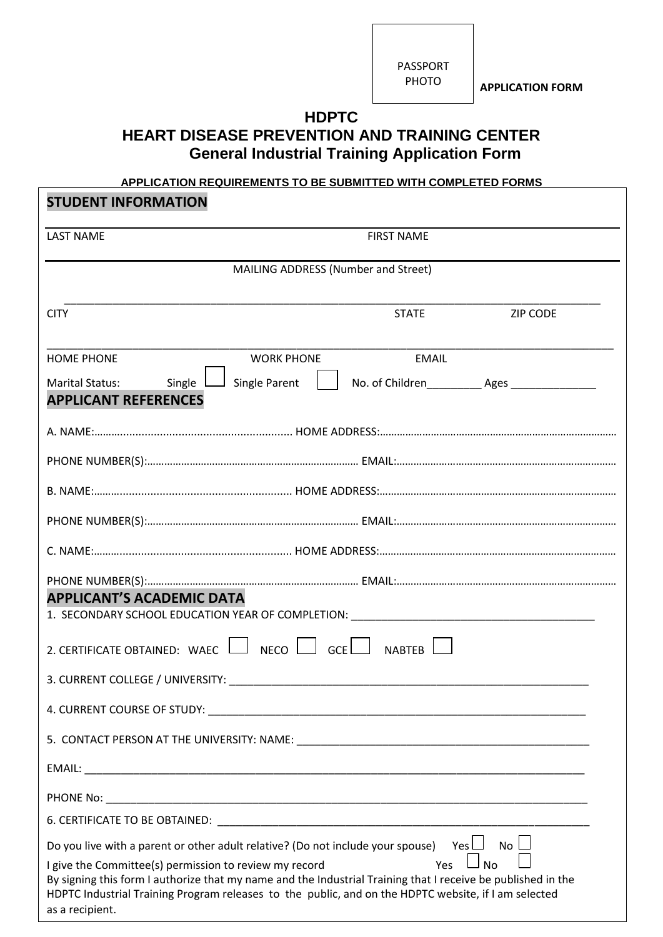PASSPORT PHOTO

**APPLICATION FORM**

## **HDPTC HEART DISEASE PREVENTION AND TRAINING CENTER General Industrial Training Application Form**

## **APPLICATION REQUIREMENTS TO BE SUBMITTED WITH COMPLETED FORMS**

| <b>STUDENT INFORMATION</b>                                                                                                                                                                                                                                                                                                                                                                                                          |                                                                 |  |  |  |
|-------------------------------------------------------------------------------------------------------------------------------------------------------------------------------------------------------------------------------------------------------------------------------------------------------------------------------------------------------------------------------------------------------------------------------------|-----------------------------------------------------------------|--|--|--|
| <b>LAST NAME</b>                                                                                                                                                                                                                                                                                                                                                                                                                    | <b>FIRST NAME</b>                                               |  |  |  |
| MAILING ADDRESS (Number and Street)                                                                                                                                                                                                                                                                                                                                                                                                 |                                                                 |  |  |  |
| <b>CITY</b>                                                                                                                                                                                                                                                                                                                                                                                                                         | <b>STATE</b><br><b>ZIP CODE</b>                                 |  |  |  |
| <b>HOME PHONE</b><br><b>WORK PHONE</b><br>Single L<br>$\Box$ Single Parent<br><b>Marital Status:</b>                                                                                                                                                                                                                                                                                                                                | <b>EMAIL</b><br>No. of Children____________ Ages ______________ |  |  |  |
| <b>APPLICANT REFERENCES</b>                                                                                                                                                                                                                                                                                                                                                                                                         |                                                                 |  |  |  |
|                                                                                                                                                                                                                                                                                                                                                                                                                                     |                                                                 |  |  |  |
|                                                                                                                                                                                                                                                                                                                                                                                                                                     |                                                                 |  |  |  |
|                                                                                                                                                                                                                                                                                                                                                                                                                                     |                                                                 |  |  |  |
|                                                                                                                                                                                                                                                                                                                                                                                                                                     |                                                                 |  |  |  |
| <b>APPLICANT'S ACADEMIC DATA</b><br>1. SECONDARY SCHOOL EDUCATION YEAR OF COMPLETION: _______________________________                                                                                                                                                                                                                                                                                                               |                                                                 |  |  |  |
| 2. CERTIFICATE OBTAINED: WAEC $\Box$ NECO $\Box$ GCE $\Box$ NABTEB                                                                                                                                                                                                                                                                                                                                                                  |                                                                 |  |  |  |
| 3. CURRENT COLLEGE / UNIVERSITY: NAMEL AND THE STATE OF STATE OF STATE OF STATE OF STATE OF STATE OF STATE OF STATE OF STATE OF STATE OF STATE OF STATE OF STATE OF STATE OF STATE OF STATE OF STATE OF STATE OF STATE OF STAT                                                                                                                                                                                                      |                                                                 |  |  |  |
|                                                                                                                                                                                                                                                                                                                                                                                                                                     |                                                                 |  |  |  |
|                                                                                                                                                                                                                                                                                                                                                                                                                                     |                                                                 |  |  |  |
|                                                                                                                                                                                                                                                                                                                                                                                                                                     |                                                                 |  |  |  |
|                                                                                                                                                                                                                                                                                                                                                                                                                                     |                                                                 |  |  |  |
|                                                                                                                                                                                                                                                                                                                                                                                                                                     |                                                                 |  |  |  |
| $No \lfloor$<br>Do you live with a parent or other adult relative? (Do not include your spouse) Yes $\Box$<br>$\Box$ No<br>Yes<br>I give the Committee(s) permission to review my record<br>By signing this form I authorize that my name and the Industrial Training that I receive be published in the<br>HDPTC Industrial Training Program releases to the public, and on the HDPTC website, if I am selected<br>as a recipient. |                                                                 |  |  |  |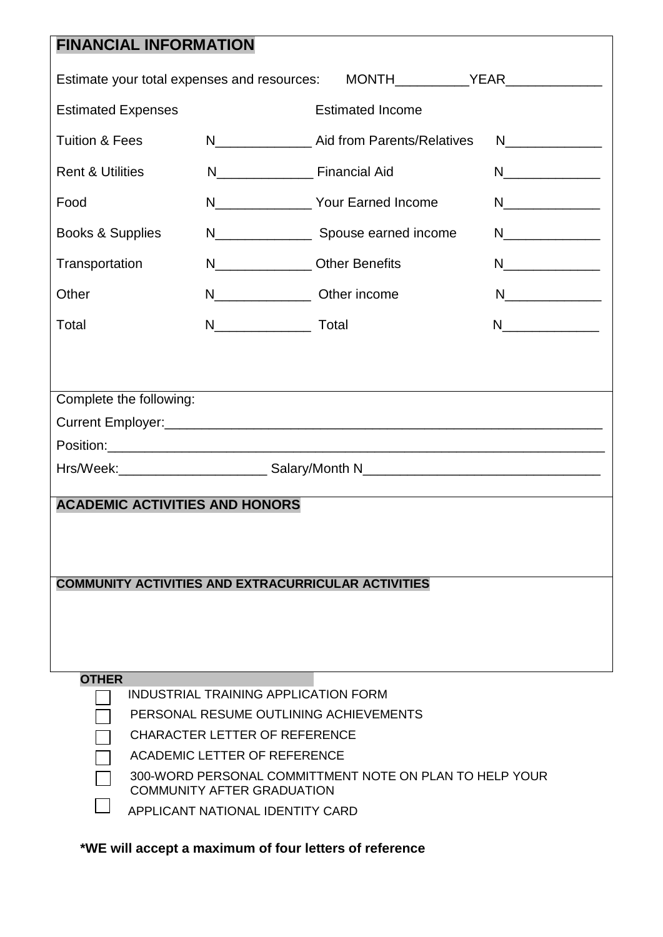| <b>FINANCIAL INFORMATION</b>                                                                                                                                                                                                         |                                          |                                                |                                                                                                                                                                                                                                                                                                                                                                                                                             |  |  |
|--------------------------------------------------------------------------------------------------------------------------------------------------------------------------------------------------------------------------------------|------------------------------------------|------------------------------------------------|-----------------------------------------------------------------------------------------------------------------------------------------------------------------------------------------------------------------------------------------------------------------------------------------------------------------------------------------------------------------------------------------------------------------------------|--|--|
| Estimate your total expenses and resources: MONTH__________YEAR_________________                                                                                                                                                     |                                          |                                                |                                                                                                                                                                                                                                                                                                                                                                                                                             |  |  |
| <b>Estimated Expenses</b>                                                                                                                                                                                                            |                                          | <b>Estimated Income</b>                        |                                                                                                                                                                                                                                                                                                                                                                                                                             |  |  |
| <b>Tuition &amp; Fees</b>                                                                                                                                                                                                            |                                          | N Aid from Parents/Relatives                   |                                                                                                                                                                                                                                                                                                                                                                                                                             |  |  |
| <b>Rent &amp; Utilities</b>                                                                                                                                                                                                          | N_________________________ Financial Aid |                                                |                                                                                                                                                                                                                                                                                                                                                                                                                             |  |  |
| Food                                                                                                                                                                                                                                 |                                          | N__________________ Your Earned Income         |                                                                                                                                                                                                                                                                                                                                                                                                                             |  |  |
| Books & Supplies                                                                                                                                                                                                                     |                                          | N________________________ Spouse earned income |                                                                                                                                                                                                                                                                                                                                                                                                                             |  |  |
| Transportation                                                                                                                                                                                                                       | N________________Other Benefits          |                                                | $\begin{picture}(20,20) \put(0,0){\dashbox{0.5}(5,0){ }} \put(15,0){\circle{10}} \put(25,0){\circle{10}} \put(25,0){\circle{10}} \put(25,0){\circle{10}} \put(25,0){\circle{10}} \put(25,0){\circle{10}} \put(25,0){\circle{10}} \put(25,0){\circle{10}} \put(25,0){\circle{10}} \put(25,0){\circle{10}} \put(25,0){\circle{10}} \put(25,0){\circle{10}} \put(25,0){\circle{10}} \put(25,0$                                 |  |  |
| Other                                                                                                                                                                                                                                | N___________________ Other income        |                                                | $N$ and $N$ and $N$ and $N$ and $N$                                                                                                                                                                                                                                                                                                                                                                                         |  |  |
| Total                                                                                                                                                                                                                                |                                          |                                                | $\begin{picture}(20,20) \put(0,0){\dashbox{0.5}(5,0){ }} \thicklines \put(0,0){\dashbox{0.5}(5,0){ }} \thicklines \put(0,0){\dashbox{0.5}(5,0){ }} \thicklines \put(0,0){\dashbox{0.5}(5,0){ }} \thicklines \put(0,0){\dashbox{0.5}(5,0){ }} \thicklines \put(0,0){\dashbox{0.5}(5,0){ }} \thicklines \put(0,0){\dashbox{0.5}(5,0){ }} \thicklines \put(0,0){\dashbox{0.5}(5,0){ }} \thicklines \put(0,0){\dashbox{0.5}(5,$ |  |  |
|                                                                                                                                                                                                                                      |                                          |                                                |                                                                                                                                                                                                                                                                                                                                                                                                                             |  |  |
| Complete the following:<br><b>ACADEMIC ACTIVITIES AND HONORS</b>                                                                                                                                                                     |                                          |                                                |                                                                                                                                                                                                                                                                                                                                                                                                                             |  |  |
| <b>COMMUNITY ACTIVITIES AND EXTRACURRICULAR ACTIVITIES</b><br><b>OTHER</b><br>INDUSTRIAL TRAINING APPLICATION FORM<br>PERSONAL RESUME OUTLINING ACHIEVEMENTS<br><b>CHARACTER LETTER OF REFERENCE</b><br>ACADEMIC LETTER OF REFERENCE |                                          |                                                |                                                                                                                                                                                                                                                                                                                                                                                                                             |  |  |
| 300-WORD PERSONAL COMMITTMENT NOTE ON PLAN TO HELP YOUR<br><b>COMMUNITY AFTER GRADUATION</b><br>APPLICANT NATIONAL IDENTITY CARD                                                                                                     |                                          |                                                |                                                                                                                                                                                                                                                                                                                                                                                                                             |  |  |

**\*WE will accept a maximum of four letters of reference**